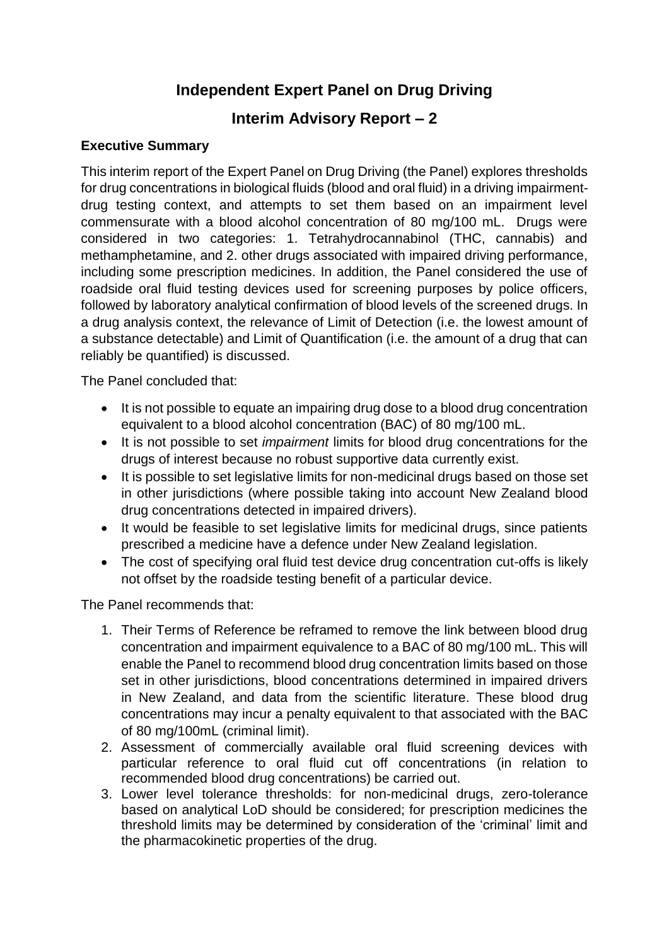# **Independent Expert Panel on Drug Driving**

# **Interim Advisory Report – 2**

## **Executive Summary**

This interim report of the Expert Panel on Drug Driving (the Panel) explores thresholds for drug concentrations in biological fluids (blood and oral fluid) in a driving impairmentdrug testing context, and attempts to set them based on an impairment level commensurate with a blood alcohol concentration of 80 mg/100 mL. Drugs were considered in two categories: 1. Tetrahydrocannabinol (THC, cannabis) and methamphetamine, and 2. other drugs associated with impaired driving performance, including some prescription medicines. In addition, the Panel considered the use of roadside oral fluid testing devices used for screening purposes by police officers, followed by laboratory analytical confirmation of blood levels of the screened drugs. In a drug analysis context, the relevance of Limit of Detection (i.e. the lowest amount of a substance detectable) and Limit of Quantification (i.e. the amount of a drug that can reliably be quantified) is discussed.

The Panel concluded that:

- It is not possible to equate an impairing drug dose to a blood drug concentration equivalent to a blood alcohol concentration (BAC) of 80 mg/100 mL.
- It is not possible to set *impairment* limits for blood drug concentrations for the drugs of interest because no robust supportive data currently exist.
- It is possible to set legislative limits for non-medicinal drugs based on those set in other jurisdictions (where possible taking into account New Zealand blood drug concentrations detected in impaired drivers).
- It would be feasible to set legislative limits for medicinal drugs, since patients prescribed a medicine have a defence under New Zealand legislation.
- The cost of specifying oral fluid test device drug concentration cut-offs is likely not offset by the roadside testing benefit of a particular device.

The Panel recommends that:

- 1. Their Terms of Reference be reframed to remove the link between blood drug concentration and impairment equivalence to a BAC of 80 mg/100 mL. This will enable the Panel to recommend blood drug concentration limits based on those set in other jurisdictions, blood concentrations determined in impaired drivers in New Zealand, and data from the scientific literature. These blood drug concentrations may incur a penalty equivalent to that associated with the BAC of 80 mg/100mL (criminal limit).
- 2. Assessment of commercially available oral fluid screening devices with particular reference to oral fluid cut off concentrations (in relation to recommended blood drug concentrations) be carried out.
- 3. Lower level tolerance thresholds: for non-medicinal drugs, zero-tolerance based on analytical LoD should be considered; for prescription medicines the threshold limits may be determined by consideration of the 'criminal' limit and the pharmacokinetic properties of the drug.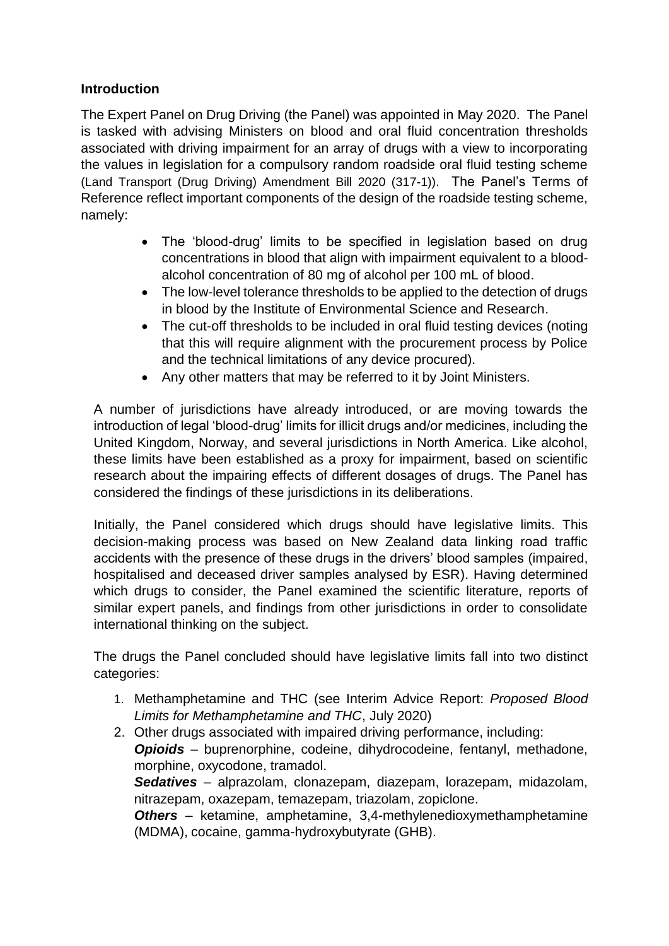## **Introduction**

The Expert Panel on Drug Driving (the Panel) was appointed in May 2020. The Panel is tasked with advising Ministers on blood and oral fluid concentration thresholds associated with driving impairment for an array of drugs with a view to incorporating the values in legislation for a compulsory random roadside oral fluid testing scheme (Land Transport (Drug Driving) Amendment Bill 2020 (317-1)). The Panel's Terms of Reference reflect important components of the design of the roadside testing scheme, namely:

- The 'blood-drug' limits to be specified in legislation based on drug concentrations in blood that align with impairment equivalent to a bloodalcohol concentration of 80 mg of alcohol per 100 mL of blood.
- The low-level tolerance thresholds to be applied to the detection of drugs in blood by the Institute of Environmental Science and Research.
- The cut-off thresholds to be included in oral fluid testing devices (noting that this will require alignment with the procurement process by Police and the technical limitations of any device procured).
- Any other matters that may be referred to it by Joint Ministers.

A number of jurisdictions have already introduced, or are moving towards the introduction of legal 'blood-drug' limits for illicit drugs and/or medicines, including the United Kingdom, Norway, and several jurisdictions in North America. Like alcohol, these limits have been established as a proxy for impairment, based on scientific research about the impairing effects of different dosages of drugs. The Panel has considered the findings of these jurisdictions in its deliberations.

Initially, the Panel considered which drugs should have legislative limits. This decision-making process was based on New Zealand data linking road traffic accidents with the presence of these drugs in the drivers' blood samples (impaired, hospitalised and deceased driver samples analysed by ESR). Having determined which drugs to consider, the Panel examined the scientific literature, reports of similar expert panels, and findings from other jurisdictions in order to consolidate international thinking on the subject.

The drugs the Panel concluded should have legislative limits fall into two distinct categories:

- 1. Methamphetamine and THC (see Interim Advice Report: *Proposed Blood Limits for Methamphetamine and THC*, July 2020)
- 2. Other drugs associated with impaired driving performance, including: *Opioids* – buprenorphine, codeine, dihydrocodeine, fentanyl, methadone, morphine, oxycodone, tramadol. *Sedatives* – alprazolam, clonazepam, diazepam, lorazepam, midazolam, nitrazepam, oxazepam, temazepam, triazolam, zopiclone. *Others* – ketamine, amphetamine, 3,4-methylenedioxymethamphetamine (MDMA), cocaine, gamma-hydroxybutyrate (GHB).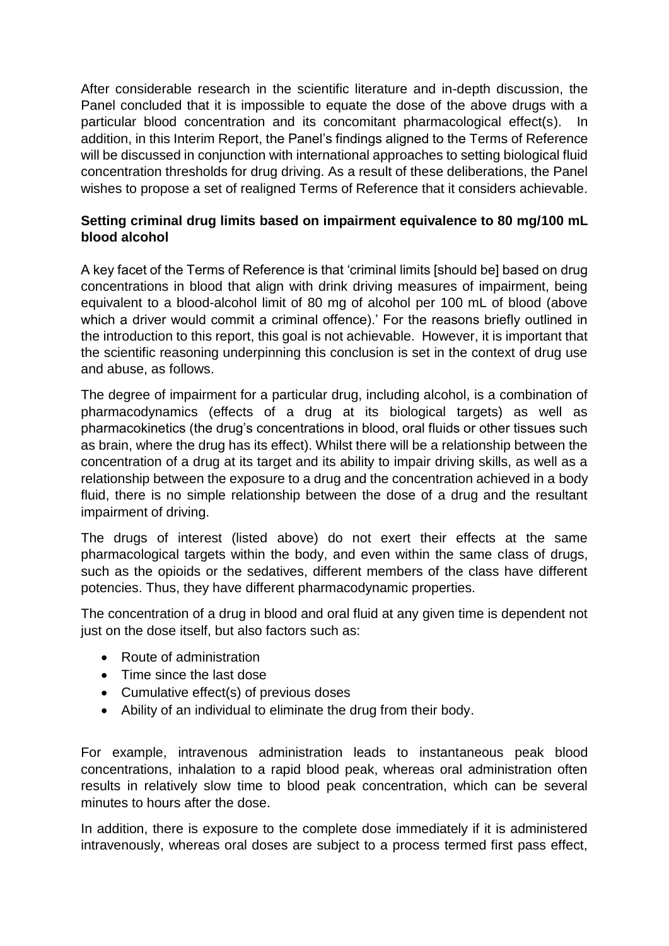After considerable research in the scientific literature and in-depth discussion, the Panel concluded that it is impossible to equate the dose of the above drugs with a particular blood concentration and its concomitant pharmacological effect(s). In addition, in this Interim Report, the Panel's findings aligned to the Terms of Reference will be discussed in conjunction with international approaches to setting biological fluid concentration thresholds for drug driving. As a result of these deliberations, the Panel wishes to propose a set of realigned Terms of Reference that it considers achievable.

## **Setting criminal drug limits based on impairment equivalence to 80 mg/100 mL blood alcohol**

A key facet of the Terms of Reference is that 'criminal limits [should be] based on drug concentrations in blood that align with drink driving measures of impairment, being equivalent to a blood-alcohol limit of 80 mg of alcohol per 100 mL of blood (above which a driver would commit a criminal offence).' For the reasons briefly outlined in the introduction to this report, this goal is not achievable. However, it is important that the scientific reasoning underpinning this conclusion is set in the context of drug use and abuse, as follows.

The degree of impairment for a particular drug, including alcohol, is a combination of pharmacodynamics (effects of a drug at its biological targets) as well as pharmacokinetics (the drug's concentrations in blood, oral fluids or other tissues such as brain, where the drug has its effect). Whilst there will be a relationship between the concentration of a drug at its target and its ability to impair driving skills, as well as a relationship between the exposure to a drug and the concentration achieved in a body fluid, there is no simple relationship between the dose of a drug and the resultant impairment of driving.

The drugs of interest (listed above) do not exert their effects at the same pharmacological targets within the body, and even within the same class of drugs, such as the opioids or the sedatives, different members of the class have different potencies. Thus, they have different pharmacodynamic properties.

The concentration of a drug in blood and oral fluid at any given time is dependent not just on the dose itself, but also factors such as:

- Route of administration
- Time since the last dose
- Cumulative effect(s) of previous doses
- Ability of an individual to eliminate the drug from their body.

For example, intravenous administration leads to instantaneous peak blood concentrations, inhalation to a rapid blood peak, whereas oral administration often results in relatively slow time to blood peak concentration, which can be several minutes to hours after the dose.

In addition, there is exposure to the complete dose immediately if it is administered intravenously, whereas oral doses are subject to a process termed first pass effect,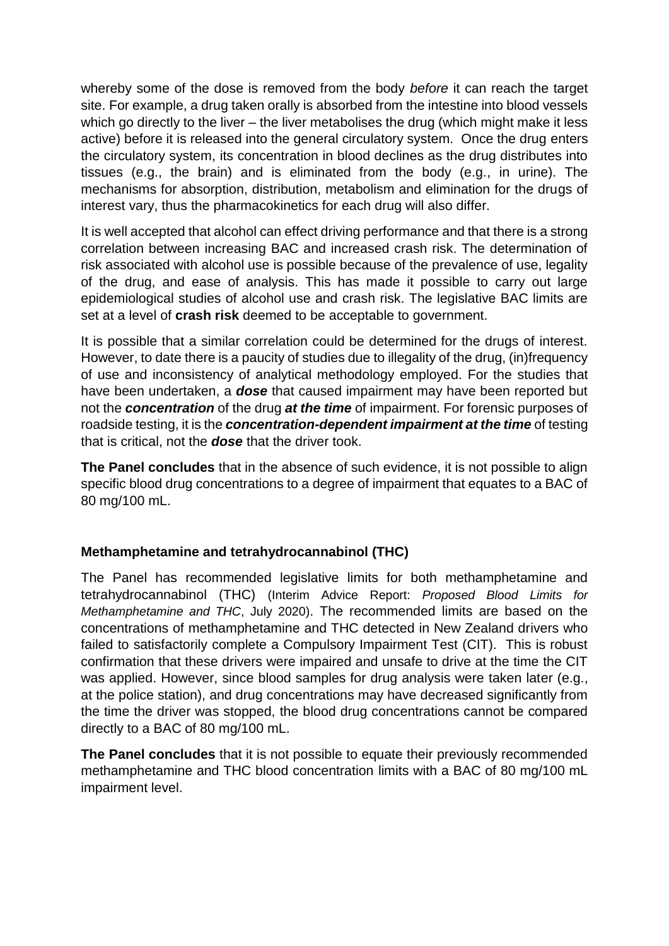whereby some of the dose is removed from the body *before* it can reach the target site. For example, a drug taken orally is absorbed from the intestine into blood vessels which go directly to the liver – the liver metabolises the drug (which might make it less active) before it is released into the general circulatory system. Once the drug enters the circulatory system, its concentration in blood declines as the drug distributes into tissues (e.g., the brain) and is eliminated from the body (e.g., in urine). The mechanisms for absorption, distribution, metabolism and elimination for the drugs of interest vary, thus the pharmacokinetics for each drug will also differ.

It is well accepted that alcohol can effect driving performance and that there is a strong correlation between increasing BAC and increased crash risk. The determination of risk associated with alcohol use is possible because of the prevalence of use, legality of the drug, and ease of analysis. This has made it possible to carry out large epidemiological studies of alcohol use and crash risk. The legislative BAC limits are set at a level of **crash risk** deemed to be acceptable to government.

It is possible that a similar correlation could be determined for the drugs of interest. However, to date there is a paucity of studies due to illegality of the drug, (in)frequency of use and inconsistency of analytical methodology employed. For the studies that have been undertaken, a *dose* that caused impairment may have been reported but not the *concentration* of the drug *at the time* of impairment. For forensic purposes of roadside testing, it is the *concentration-dependent impairment at the time* of testing that is critical, not the *dose* that the driver took.

**The Panel concludes** that in the absence of such evidence, it is not possible to align specific blood drug concentrations to a degree of impairment that equates to a BAC of 80 mg/100 mL.

## **Methamphetamine and tetrahydrocannabinol (THC)**

The Panel has recommended legislative limits for both methamphetamine and tetrahydrocannabinol (THC) (Interim Advice Report: *Proposed Blood Limits for Methamphetamine and THC*, July 2020). The recommended limits are based on the concentrations of methamphetamine and THC detected in New Zealand drivers who failed to satisfactorily complete a Compulsory Impairment Test (CIT). This is robust confirmation that these drivers were impaired and unsafe to drive at the time the CIT was applied. However, since blood samples for drug analysis were taken later (e.g., at the police station), and drug concentrations may have decreased significantly from the time the driver was stopped, the blood drug concentrations cannot be compared directly to a BAC of 80 mg/100 mL.

**The Panel concludes** that it is not possible to equate their previously recommended methamphetamine and THC blood concentration limits with a BAC of 80 mg/100 mL impairment level.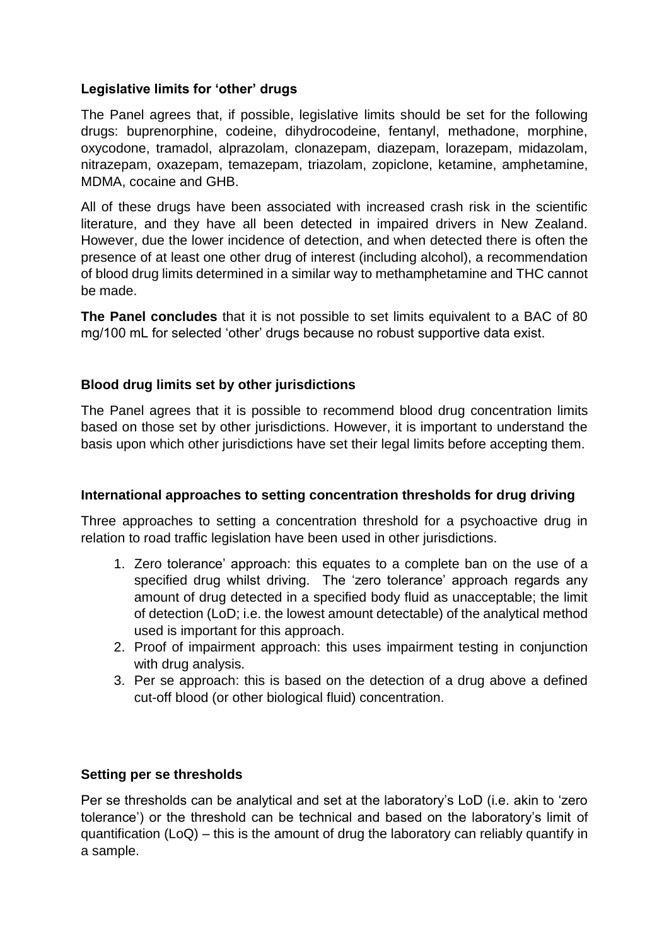## **Legislative limits for 'other' drugs**

The Panel agrees that, if possible, legislative limits should be set for the following drugs: buprenorphine, codeine, dihydrocodeine, fentanyl, methadone, morphine, oxycodone, tramadol, alprazolam, clonazepam, diazepam, lorazepam, midazolam, nitrazepam, oxazepam, temazepam, triazolam, zopiclone, ketamine, amphetamine, MDMA, cocaine and GHB.

All of these drugs have been associated with increased crash risk in the scientific literature, and they have all been detected in impaired drivers in New Zealand. However, due the lower incidence of detection, and when detected there is often the presence of at least one other drug of interest (including alcohol), a recommendation of blood drug limits determined in a similar way to methamphetamine and THC cannot be made.

**The Panel concludes** that it is not possible to set limits equivalent to a BAC of 80 mg/100 mL for selected 'other' drugs because no robust supportive data exist.

### **Blood drug limits set by other jurisdictions**

The Panel agrees that it is possible to recommend blood drug concentration limits based on those set by other jurisdictions. However, it is important to understand the basis upon which other jurisdictions have set their legal limits before accepting them.

#### **International approaches to setting concentration thresholds for drug driving**

Three approaches to setting a concentration threshold for a psychoactive drug in relation to road traffic legislation have been used in other jurisdictions.

- 1. Zero tolerance' approach: this equates to a complete ban on the use of a specified drug whilst driving. The 'zero tolerance' approach regards any amount of drug detected in a specified body fluid as unacceptable; the limit of detection (LoD; i.e. the lowest amount detectable) of the analytical method used is important for this approach.
- 2. Proof of impairment approach: this uses impairment testing in conjunction with drug analysis.
- 3. Per se approach: this is based on the detection of a drug above a defined cut-off blood (or other biological fluid) concentration.

#### **Setting per se thresholds**

Per se thresholds can be analytical and set at the laboratory's LoD (i.e. akin to 'zero tolerance') or the threshold can be technical and based on the laboratory's limit of quantification (LoQ) – this is the amount of drug the laboratory can reliably quantify in a sample.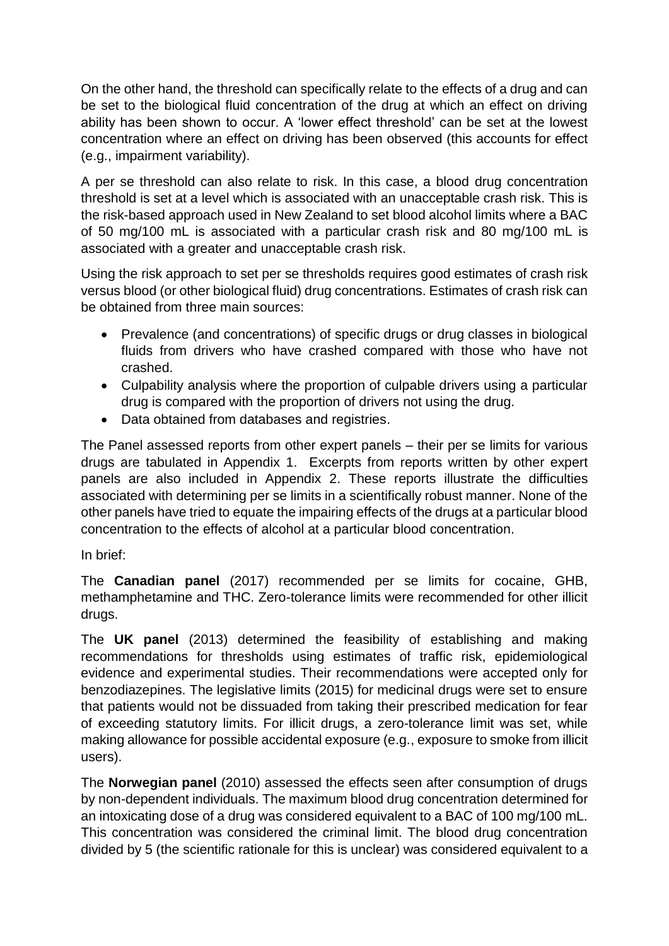On the other hand, the threshold can specifically relate to the effects of a drug and can be set to the biological fluid concentration of the drug at which an effect on driving ability has been shown to occur. A 'lower effect threshold' can be set at the lowest concentration where an effect on driving has been observed (this accounts for effect (e.g., impairment variability).

A per se threshold can also relate to risk. In this case, a blood drug concentration threshold is set at a level which is associated with an unacceptable crash risk. This is the risk-based approach used in New Zealand to set blood alcohol limits where a BAC of 50 mg/100 mL is associated with a particular crash risk and 80 mg/100 mL is associated with a greater and unacceptable crash risk.

Using the risk approach to set per se thresholds requires good estimates of crash risk versus blood (or other biological fluid) drug concentrations. Estimates of crash risk can be obtained from three main sources:

- Prevalence (and concentrations) of specific drugs or drug classes in biological fluids from drivers who have crashed compared with those who have not crashed.
- Culpability analysis where the proportion of culpable drivers using a particular drug is compared with the proportion of drivers not using the drug.
- Data obtained from databases and registries.

The Panel assessed reports from other expert panels – their per se limits for various drugs are tabulated in Appendix 1. Excerpts from reports written by other expert panels are also included in Appendix 2. These reports illustrate the difficulties associated with determining per se limits in a scientifically robust manner. None of the other panels have tried to equate the impairing effects of the drugs at a particular blood concentration to the effects of alcohol at a particular blood concentration.

## In brief:

The **Canadian panel** (2017) recommended per se limits for cocaine, GHB, methamphetamine and THC. Zero-tolerance limits were recommended for other illicit drugs.

The **UK panel** (2013) determined the feasibility of establishing and making recommendations for thresholds using estimates of traffic risk, epidemiological evidence and experimental studies. Their recommendations were accepted only for benzodiazepines. The legislative limits (2015) for medicinal drugs were set to ensure that patients would not be dissuaded from taking their prescribed medication for fear of exceeding statutory limits. For illicit drugs, a zero-tolerance limit was set, while making allowance for possible accidental exposure (e.g., exposure to smoke from illicit users).

The **Norwegian panel** (2010) assessed the effects seen after consumption of drugs by non-dependent individuals. The maximum blood drug concentration determined for an intoxicating dose of a drug was considered equivalent to a BAC of 100 mg/100 mL. This concentration was considered the criminal limit. The blood drug concentration divided by 5 (the scientific rationale for this is unclear) was considered equivalent to a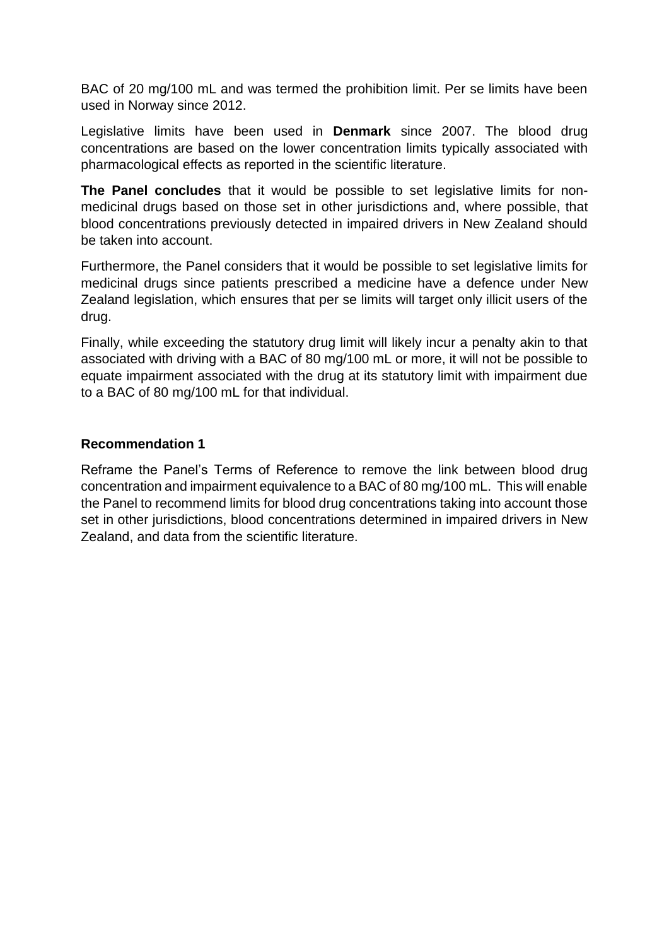BAC of 20 mg/100 mL and was termed the prohibition limit. Per se limits have been used in Norway since 2012.

Legislative limits have been used in **Denmark** since 2007. The blood drug concentrations are based on the lower concentration limits typically associated with pharmacological effects as reported in the scientific literature.

**The Panel concludes** that it would be possible to set legislative limits for nonmedicinal drugs based on those set in other jurisdictions and, where possible, that blood concentrations previously detected in impaired drivers in New Zealand should be taken into account.

Furthermore, the Panel considers that it would be possible to set legislative limits for medicinal drugs since patients prescribed a medicine have a defence under New Zealand legislation, which ensures that per se limits will target only illicit users of the drug.

Finally, while exceeding the statutory drug limit will likely incur a penalty akin to that associated with driving with a BAC of 80 mg/100 mL or more, it will not be possible to equate impairment associated with the drug at its statutory limit with impairment due to a BAC of 80 mg/100 mL for that individual.

#### **Recommendation 1**

Reframe the Panel's Terms of Reference to remove the link between blood drug concentration and impairment equivalence to a BAC of 80 mg/100 mL. This will enable the Panel to recommend limits for blood drug concentrations taking into account those set in other jurisdictions, blood concentrations determined in impaired drivers in New Zealand, and data from the scientific literature.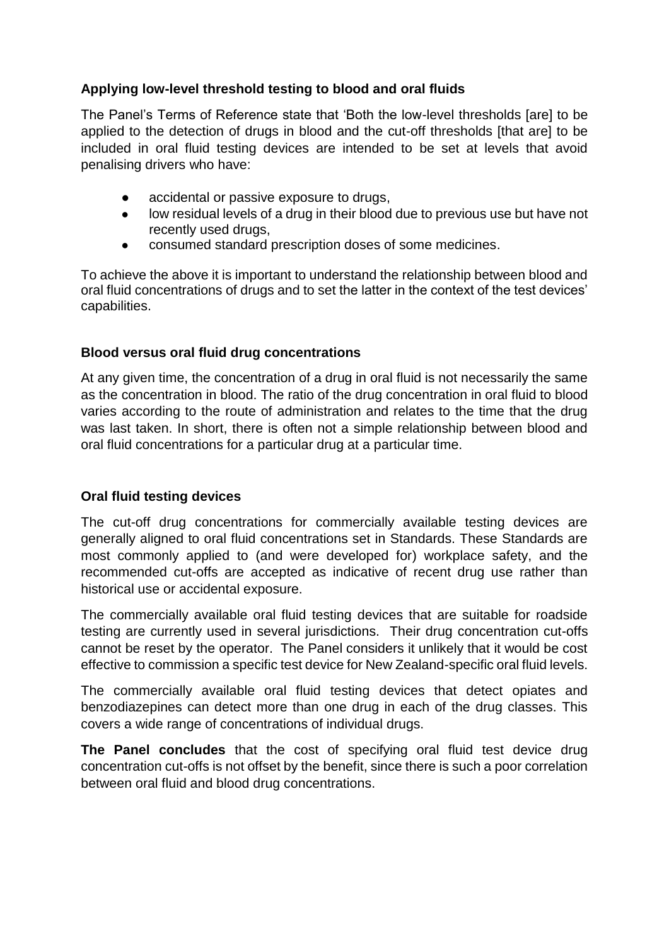# **Applying low-level threshold testing to blood and oral fluids**

The Panel's Terms of Reference state that 'Both the low-level thresholds [are] to be applied to the detection of drugs in blood and the cut-off thresholds [that are] to be included in oral fluid testing devices are intended to be set at levels that avoid penalising drivers who have:

- accidental or passive exposure to drugs,
- low residual levels of a drug in their blood due to previous use but have not recently used drugs,
- consumed standard prescription doses of some medicines.

To achieve the above it is important to understand the relationship between blood and oral fluid concentrations of drugs and to set the latter in the context of the test devices' capabilities.

### **Blood versus oral fluid drug concentrations**

At any given time, the concentration of a drug in oral fluid is not necessarily the same as the concentration in blood. The ratio of the drug concentration in oral fluid to blood varies according to the route of administration and relates to the time that the drug was last taken. In short, there is often not a simple relationship between blood and oral fluid concentrations for a particular drug at a particular time.

## **Oral fluid testing devices**

The cut-off drug concentrations for commercially available testing devices are generally aligned to oral fluid concentrations set in Standards. These Standards are most commonly applied to (and were developed for) workplace safety, and the recommended cut-offs are accepted as indicative of recent drug use rather than historical use or accidental exposure.

The commercially available oral fluid testing devices that are suitable for roadside testing are currently used in several jurisdictions. Their drug concentration cut-offs cannot be reset by the operator. The Panel considers it unlikely that it would be cost effective to commission a specific test device for New Zealand-specific oral fluid levels.

The commercially available oral fluid testing devices that detect opiates and benzodiazepines can detect more than one drug in each of the drug classes. This covers a wide range of concentrations of individual drugs.

**The Panel concludes** that the cost of specifying oral fluid test device drug concentration cut-offs is not offset by the benefit, since there is such a poor correlation between oral fluid and blood drug concentrations.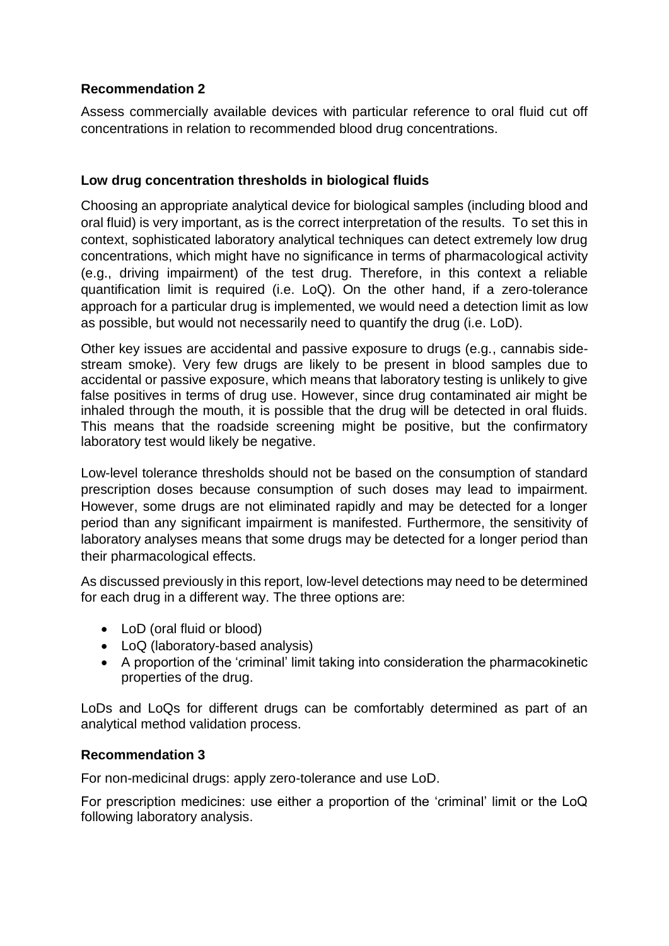## **Recommendation 2**

Assess commercially available devices with particular reference to oral fluid cut off concentrations in relation to recommended blood drug concentrations.

# **Low drug concentration thresholds in biological fluids**

Choosing an appropriate analytical device for biological samples (including blood and oral fluid) is very important, as is the correct interpretation of the results. To set this in context, sophisticated laboratory analytical techniques can detect extremely low drug concentrations, which might have no significance in terms of pharmacological activity (e.g., driving impairment) of the test drug. Therefore, in this context a reliable quantification limit is required (i.e. LoQ). On the other hand, if a zero-tolerance approach for a particular drug is implemented, we would need a detection limit as low as possible, but would not necessarily need to quantify the drug (i.e. LoD).

Other key issues are accidental and passive exposure to drugs (e.g., cannabis sidestream smoke). Very few drugs are likely to be present in blood samples due to accidental or passive exposure, which means that laboratory testing is unlikely to give false positives in terms of drug use. However, since drug contaminated air might be inhaled through the mouth, it is possible that the drug will be detected in oral fluids. This means that the roadside screening might be positive, but the confirmatory laboratory test would likely be negative.

Low-level tolerance thresholds should not be based on the consumption of standard prescription doses because consumption of such doses may lead to impairment. However, some drugs are not eliminated rapidly and may be detected for a longer period than any significant impairment is manifested. Furthermore, the sensitivity of laboratory analyses means that some drugs may be detected for a longer period than their pharmacological effects.

As discussed previously in this report, low-level detections may need to be determined for each drug in a different way. The three options are:

- LoD (oral fluid or blood)
- LoQ (laboratory-based analysis)
- A proportion of the 'criminal' limit taking into consideration the pharmacokinetic properties of the drug.

LoDs and LoQs for different drugs can be comfortably determined as part of an analytical method validation process.

## **Recommendation 3**

For non-medicinal drugs: apply zero-tolerance and use LoD.

For prescription medicines: use either a proportion of the 'criminal' limit or the LoQ following laboratory analysis.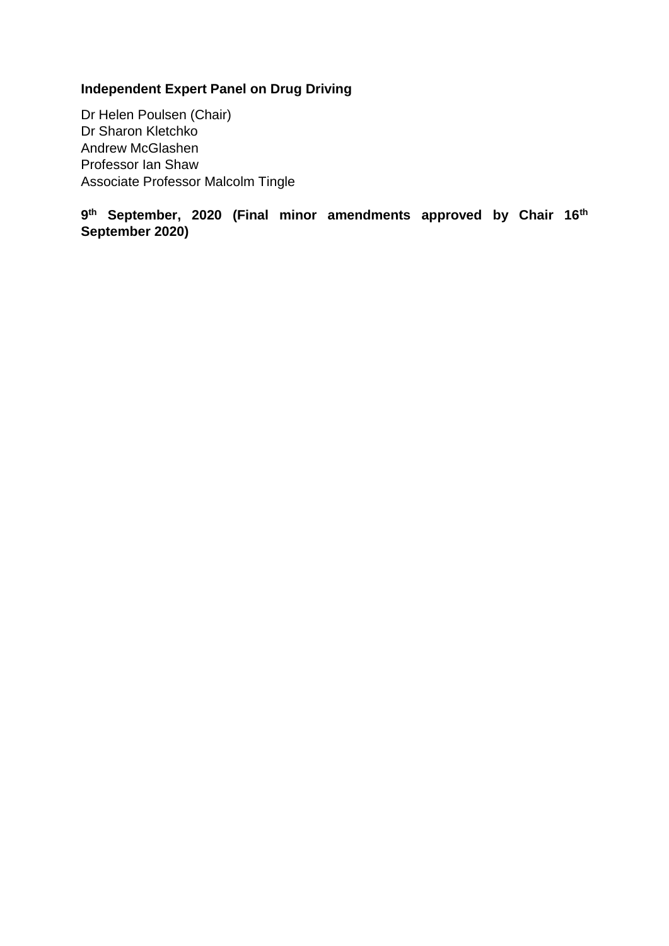# **Independent Expert Panel on Drug Driving**

Dr Helen Poulsen (Chair) Dr Sharon Kletchko Andrew McGlashen Professor Ian Shaw Associate Professor Malcolm Tingle

**9 th September, 2020 (Final minor amendments approved by Chair 16th September 2020)**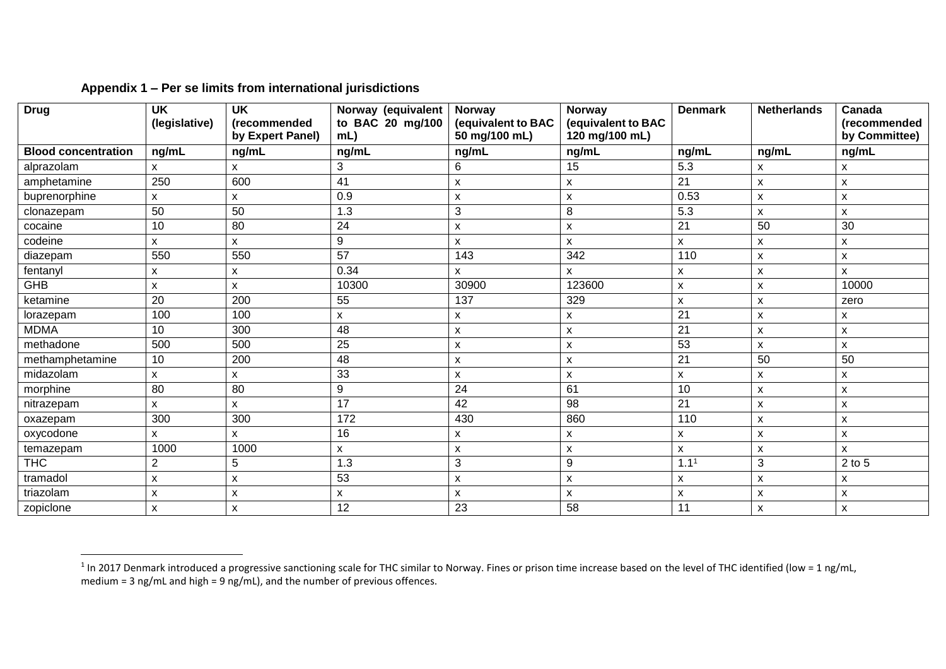| <b>Drug</b>                | <b>UK</b><br>(legislative) | <b>UK</b><br>(recommended<br>by Expert Panel) | Norway (equivalent<br>to BAC 20 mg/100<br>$mL$ ) | Norway<br>(equivalent to BAC<br>50 mg/100 mL) | Norway<br>(equivalent to BAC<br>120 mg/100 mL) | <b>Denmark</b>            | <b>Netherlands</b> | Canada<br>(recommended<br>by Committee) |
|----------------------------|----------------------------|-----------------------------------------------|--------------------------------------------------|-----------------------------------------------|------------------------------------------------|---------------------------|--------------------|-----------------------------------------|
| <b>Blood concentration</b> | ng/mL                      | ng/mL                                         | ng/mL                                            | ng/mL                                         | ng/mL                                          | ng/mL                     | ng/mL              | ng/mL                                   |
| alprazolam                 | X                          | X                                             | 3                                                | 6                                             | 15                                             | 5.3                       | x                  | X                                       |
|                            | 250                        | 600                                           | 41                                               |                                               |                                                | 21                        |                    |                                         |
| amphetamine                |                            |                                               |                                                  | X                                             | X                                              |                           | x                  | X                                       |
| buprenorphine              | X                          | X                                             | 0.9                                              | X                                             | X                                              | 0.53                      | x                  | X                                       |
| clonazepam                 | 50                         | 50                                            | 1.3                                              | $\sqrt{3}$                                    | 8                                              | 5.3                       | x                  | X                                       |
| cocaine                    | 10                         | 80                                            | 24                                               | X                                             | X                                              | 21                        | 50                 | 30                                      |
| codeine                    | $\mathsf{x}$               | X                                             | 9                                                | X                                             | X                                              | X                         | x                  | X                                       |
| diazepam                   | 550                        | 550                                           | $\overline{57}$                                  | 143                                           | 342                                            | 110                       | X                  | $\pmb{\mathsf{X}}$                      |
| fentanyl                   | X                          | x                                             | 0.34                                             | X                                             | X                                              | x                         | x                  | $\mathsf{x}$                            |
| GHB                        | $\mathsf{x}$               | X                                             | 10300                                            | 30900                                         | 123600                                         | $\boldsymbol{\mathsf{x}}$ | x                  | 10000                                   |
| ketamine                   | 20                         | 200                                           | 55                                               | 137                                           | 329                                            | X                         | X                  | zero                                    |
| lorazepam                  | 100                        | 100                                           | X                                                | X                                             | X                                              | $\overline{21}$           | x                  | X                                       |
| <b>MDMA</b>                | 10                         | 300                                           | 48                                               | X                                             | $\boldsymbol{\mathsf{x}}$                      | 21                        | X                  | $\mathsf{x}$                            |
| methadone                  | 500                        | 500                                           | 25                                               | X                                             | $\boldsymbol{\mathsf{x}}$                      | 53                        | x                  | $\mathsf{x}$                            |
| methamphetamine            | 10                         | 200                                           | 48                                               | X                                             | X                                              | 21                        | 50                 | 50                                      |
| midazolam                  | $\mathsf{x}$               | X                                             | 33                                               | $\pmb{\times}$                                | X                                              | X                         | X                  | $\mathsf{x}$                            |
| morphine                   | 80                         | $\overline{80}$                               | $\mathsf g$                                      | $\overline{24}$                               | 61                                             | 10                        | $\pmb{\mathsf{x}}$ | $\mathsf{x}$                            |
| nitrazepam                 | X                          | X                                             | 17                                               | 42                                            | 98                                             | 21                        | x                  | X                                       |
| oxazepam                   | 300                        | 300                                           | 172                                              | 430                                           | 860                                            | 110                       | X                  | X                                       |
| oxycodone                  | $\mathsf{x}$               | $\mathsf{x}$                                  | 16                                               | X                                             | X                                              | X                         | x                  | $\mathsf{x}$                            |
| temazepam                  | 1000                       | 1000                                          | $\mathsf{x}$                                     | X                                             | $\boldsymbol{\mathsf{x}}$                      | X                         | x                  | $\mathsf{x}$                            |
| <b>THC</b>                 | $\overline{2}$             | 5                                             | 1.3                                              | 3                                             | $\boldsymbol{9}$                               | 1.1 <sup>1</sup>          | 3                  | $2$ to $5$                              |
| tramadol                   | X                          | x                                             | 53                                               | X                                             | X                                              | X                         | X                  | X                                       |
| triazolam                  | $\mathsf{x}$               | x                                             | $\pmb{\times}$                                   | X                                             | $\mathsf{x}$                                   | $\pmb{\times}$            | x                  | X                                       |
| zopiclone                  | $\boldsymbol{\mathsf{x}}$  | X                                             | 12                                               | 23                                            | 58                                             | 11                        | x                  | X                                       |

### **Appendix 1 – Per se limits from international jurisdictions**

 $\overline{\phantom{a}}$ 

<sup>&</sup>lt;sup>1</sup> In 2017 Denmark introduced a progressive sanctioning scale for THC similar to Norway. Fines or prison time increase based on the level of THC identified (low = 1 ng/mL, medium = 3 ng/mL and high = 9 ng/mL), and the number of previous offences.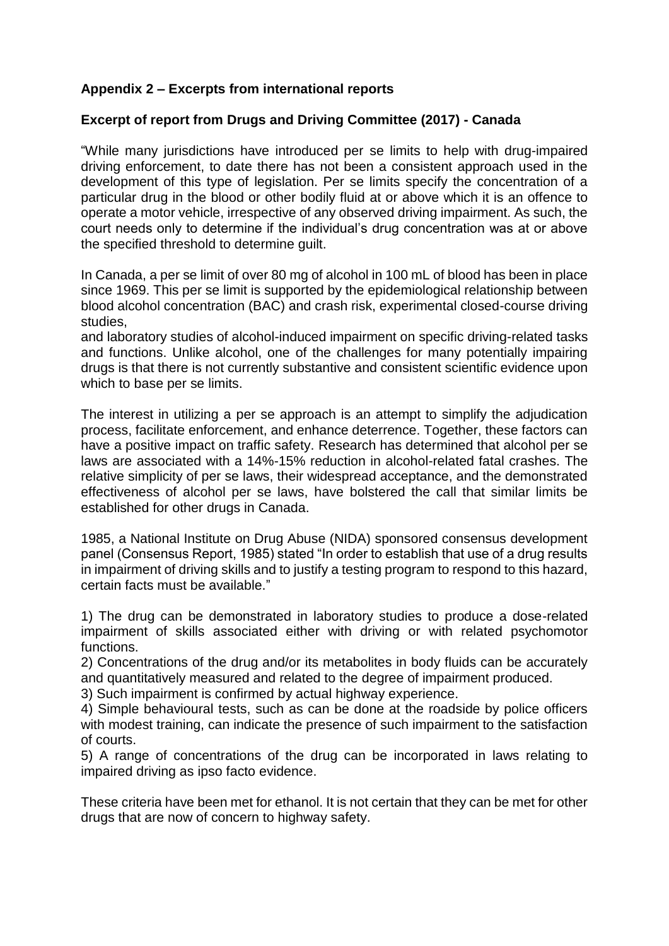## **Appendix 2 – Excerpts from international reports**

#### **Excerpt of report from Drugs and Driving Committee (2017) - Canada**

"While many jurisdictions have introduced per se limits to help with drug-impaired driving enforcement, to date there has not been a consistent approach used in the development of this type of legislation. Per se limits specify the concentration of a particular drug in the blood or other bodily fluid at or above which it is an offence to operate a motor vehicle, irrespective of any observed driving impairment. As such, the court needs only to determine if the individual's drug concentration was at or above the specified threshold to determine guilt.

In Canada, a per se limit of over 80 mg of alcohol in 100 mL of blood has been in place since 1969. This per se limit is supported by the epidemiological relationship between blood alcohol concentration (BAC) and crash risk, experimental closed-course driving studies,

and laboratory studies of alcohol-induced impairment on specific driving-related tasks and functions. Unlike alcohol, one of the challenges for many potentially impairing drugs is that there is not currently substantive and consistent scientific evidence upon which to base per se limits.

The interest in utilizing a per se approach is an attempt to simplify the adjudication process, facilitate enforcement, and enhance deterrence. Together, these factors can have a positive impact on traffic safety. Research has determined that alcohol per se laws are associated with a 14%-15% reduction in alcohol-related fatal crashes. The relative simplicity of per se laws, their widespread acceptance, and the demonstrated effectiveness of alcohol per se laws, have bolstered the call that similar limits be established for other drugs in Canada.

1985, a National Institute on Drug Abuse (NIDA) sponsored consensus development panel (Consensus Report, 1985) stated "In order to establish that use of a drug results in impairment of driving skills and to justify a testing program to respond to this hazard, certain facts must be available."

1) The drug can be demonstrated in laboratory studies to produce a dose-related impairment of skills associated either with driving or with related psychomotor functions.

2) Concentrations of the drug and/or its metabolites in body fluids can be accurately and quantitatively measured and related to the degree of impairment produced.

3) Such impairment is confirmed by actual highway experience.

4) Simple behavioural tests, such as can be done at the roadside by police officers with modest training, can indicate the presence of such impairment to the satisfaction of courts.

5) A range of concentrations of the drug can be incorporated in laws relating to impaired driving as ipso facto evidence.

These criteria have been met for ethanol. It is not certain that they can be met for other drugs that are now of concern to highway safety.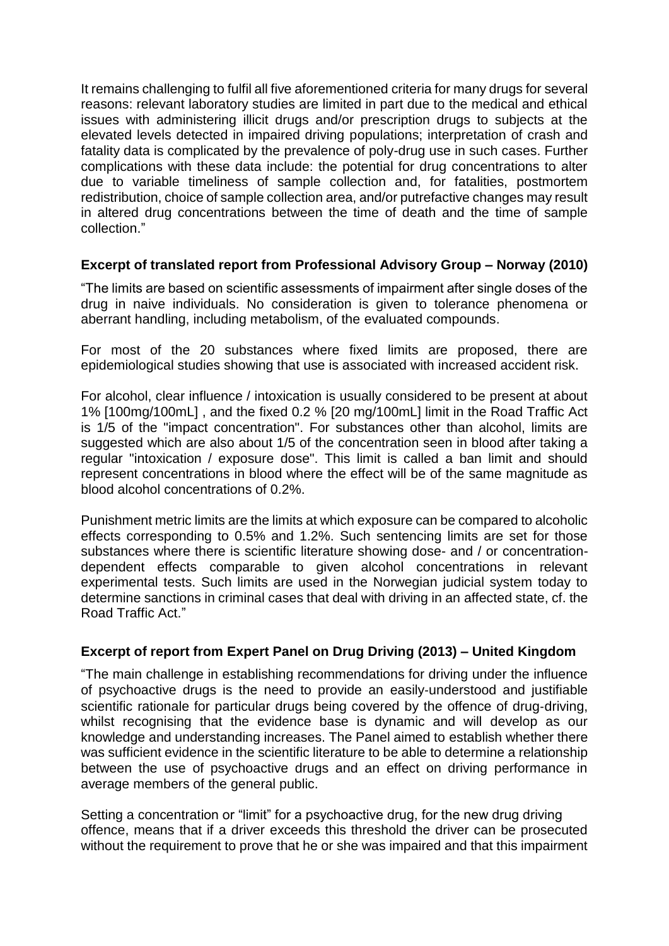It remains challenging to fulfil all five aforementioned criteria for many drugs for several reasons: relevant laboratory studies are limited in part due to the medical and ethical issues with administering illicit drugs and/or prescription drugs to subjects at the elevated levels detected in impaired driving populations; interpretation of crash and fatality data is complicated by the prevalence of poly-drug use in such cases. Further complications with these data include: the potential for drug concentrations to alter due to variable timeliness of sample collection and, for fatalities, postmortem redistribution, choice of sample collection area, and/or putrefactive changes may result in altered drug concentrations between the time of death and the time of sample collection."

### **Excerpt of translated report from Professional Advisory Group – Norway (2010)**

"The limits are based on scientific assessments of impairment after single doses of the drug in naive individuals. No consideration is given to tolerance phenomena or aberrant handling, including metabolism, of the evaluated compounds.

For most of the 20 substances where fixed limits are proposed, there are epidemiological studies showing that use is associated with increased accident risk.

For alcohol, clear influence / intoxication is usually considered to be present at about 1% [100mg/100mL] , and the fixed 0.2 % [20 mg/100mL] limit in the Road Traffic Act is 1/5 of the "impact concentration". For substances other than alcohol, limits are suggested which are also about 1/5 of the concentration seen in blood after taking a regular "intoxication / exposure dose". This limit is called a ban limit and should represent concentrations in blood where the effect will be of the same magnitude as blood alcohol concentrations of 0.2%.

Punishment metric limits are the limits at which exposure can be compared to alcoholic effects corresponding to 0.5% and 1.2%. Such sentencing limits are set for those substances where there is scientific literature showing dose- and / or concentrationdependent effects comparable to given alcohol concentrations in relevant experimental tests. Such limits are used in the Norwegian judicial system today to determine sanctions in criminal cases that deal with driving in an affected state, cf. the Road Traffic Act."

#### **Excerpt of report from Expert Panel on Drug Driving (2013) – United Kingdom**

"The main challenge in establishing recommendations for driving under the influence of psychoactive drugs is the need to provide an easily‐understood and justifiable scientific rationale for particular drugs being covered by the offence of drug-driving, whilst recognising that the evidence base is dynamic and will develop as our knowledge and understanding increases. The Panel aimed to establish whether there was sufficient evidence in the scientific literature to be able to determine a relationship between the use of psychoactive drugs and an effect on driving performance in average members of the general public.

Setting a concentration or "limit" for a psychoactive drug, for the new drug driving offence, means that if a driver exceeds this threshold the driver can be prosecuted without the requirement to prove that he or she was impaired and that this impairment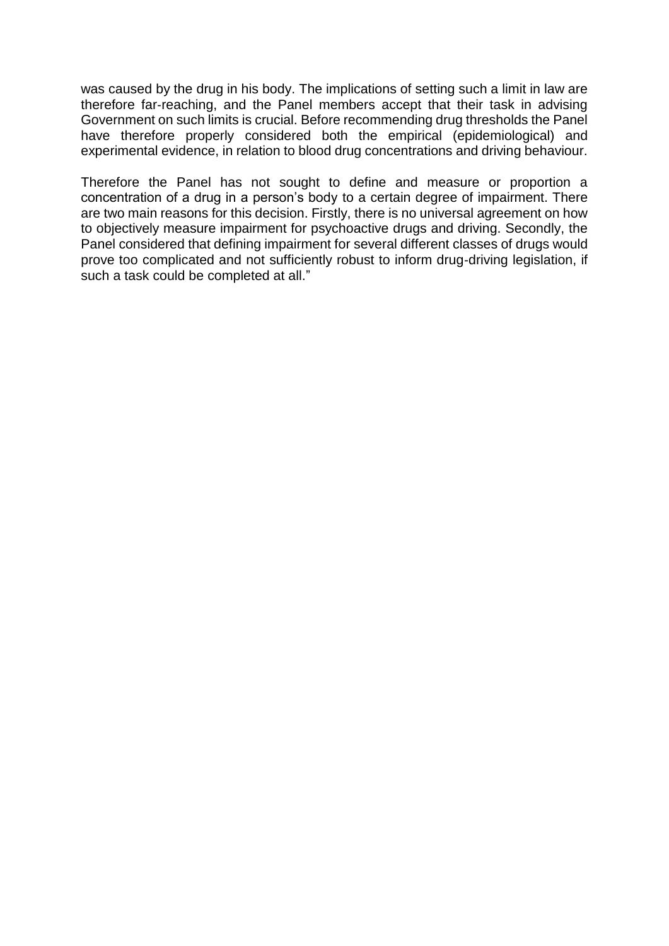was caused by the drug in his body. The implications of setting such a limit in law are therefore far‐reaching, and the Panel members accept that their task in advising Government on such limits is crucial. Before recommending drug thresholds the Panel have therefore properly considered both the empirical (epidemiological) and experimental evidence, in relation to blood drug concentrations and driving behaviour.

Therefore the Panel has not sought to define and measure or proportion a concentration of a drug in a person's body to a certain degree of impairment. There are two main reasons for this decision. Firstly, there is no universal agreement on how to objectively measure impairment for psychoactive drugs and driving. Secondly, the Panel considered that defining impairment for several different classes of drugs would prove too complicated and not sufficiently robust to inform drug-driving legislation, if such a task could be completed at all."